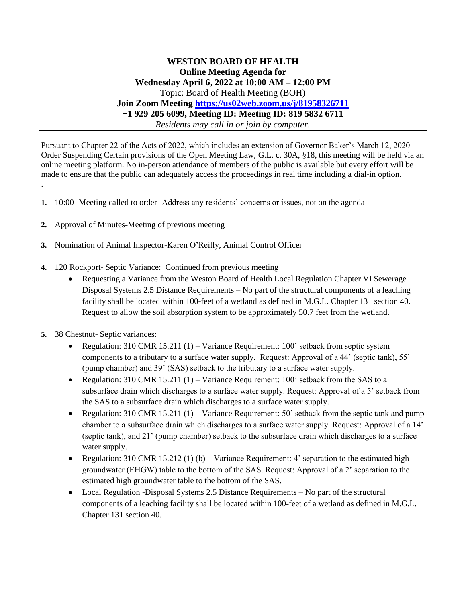**WESTON BOARD OF HEALTH Online Meeting Agenda for Wednesday April 6, 2022 at 10:00 AM – 12:00 PM** Topic: Board of Health Meeting (BOH) **Join Zoom Meeting<https://us02web.zoom.us/j/81958326711> +1 929 205 6099, Meeting ID: Meeting ID: 819 5832 6711** *Residents may call in or join by computer.*

Pursuant to Chapter 22 of the Acts of 2022, which includes an extension of Governor Baker's March 12, 2020 Order Suspending Certain provisions of the Open Meeting Law, G.L. c. 30A, §18, this meeting will be held via an online meeting platform. No in-person attendance of members of the public is available but every effort will be made to ensure that the public can adequately access the proceedings in real time including a dial-in option.

- **1.** 10:00- Meeting called to order- Address any residents' concerns or issues, not on the agenda
- **2.** Approval of Minutes-Meeting of previous meeting
- **3.** Nomination of Animal Inspector-Karen O'Reilly, Animal Control Officer
- **4.** 120 Rockport- Septic Variance: Continued from previous meeting
	- Requesting a Variance from the Weston Board of Health Local Regulation Chapter VI Sewerage Disposal Systems 2.5 Distance Requirements – No part of the structural components of a leaching facility shall be located within 100-feet of a wetland as defined in M.G.L. Chapter 131 section 40. Request to allow the soil absorption system to be approximately 50.7 feet from the wetland.
- **5.** 38 Chestnut- Septic variances:

.

- Regulation: 310 CMR 15.211 (1) Variance Requirement: 100' setback from septic system components to a tributary to a surface water supply. Request: Approval of a 44' (septic tank), 55' (pump chamber) and 39' (SAS) setback to the tributary to a surface water supply.
- Regulation: 310 CMR 15.211 (1) Variance Requirement: 100' setback from the SAS to a subsurface drain which discharges to a surface water supply. Request: Approval of a 5' setback from the SAS to a subsurface drain which discharges to a surface water supply.
- Regulation: 310 CMR 15.211 (1) Variance Requirement: 50' setback from the septic tank and pump chamber to a subsurface drain which discharges to a surface water supply. Request: Approval of a 14' (septic tank), and 21' (pump chamber) setback to the subsurface drain which discharges to a surface water supply.
- Regulation: 310 CMR 15.212 (1) (b) Variance Requirement: 4' separation to the estimated high groundwater (EHGW) table to the bottom of the SAS. Request: Approval of a 2' separation to the estimated high groundwater table to the bottom of the SAS.
- Local Regulation -Disposal Systems 2.5 Distance Requirements No part of the structural components of a leaching facility shall be located within 100-feet of a wetland as defined in M.G.L. Chapter 131 section 40.